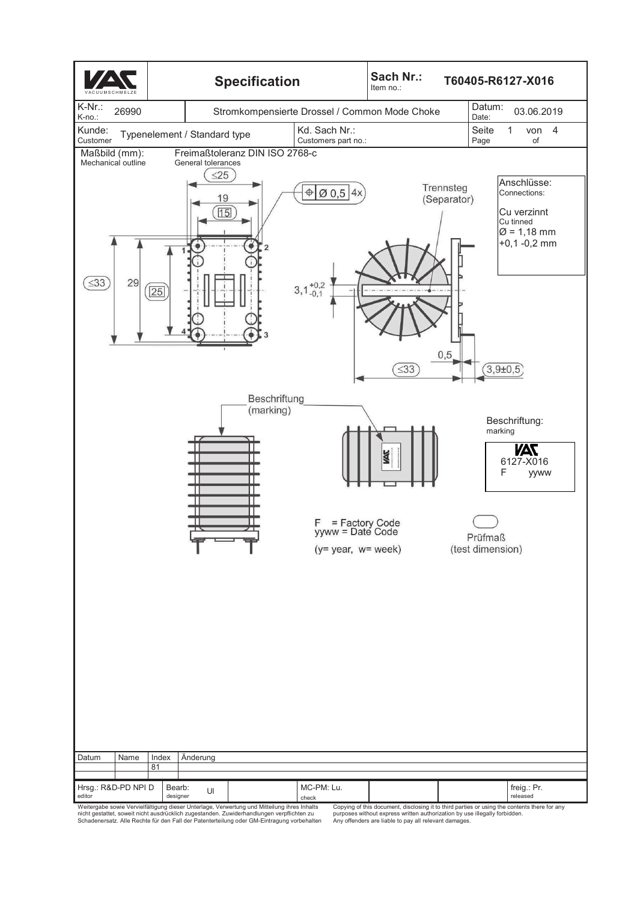

nicht gestattet, soweit nicht ausdrücklich zugestanden. Zuwiderhandlungen verpflichten zu Schadenersatz. Alle Rechte für den Fall der Patenterteilung oder GM-Eintragung vorbehalten

purposes without express written authorization by use illegally forbidden. Any offenders are liable to pay all relevant damages.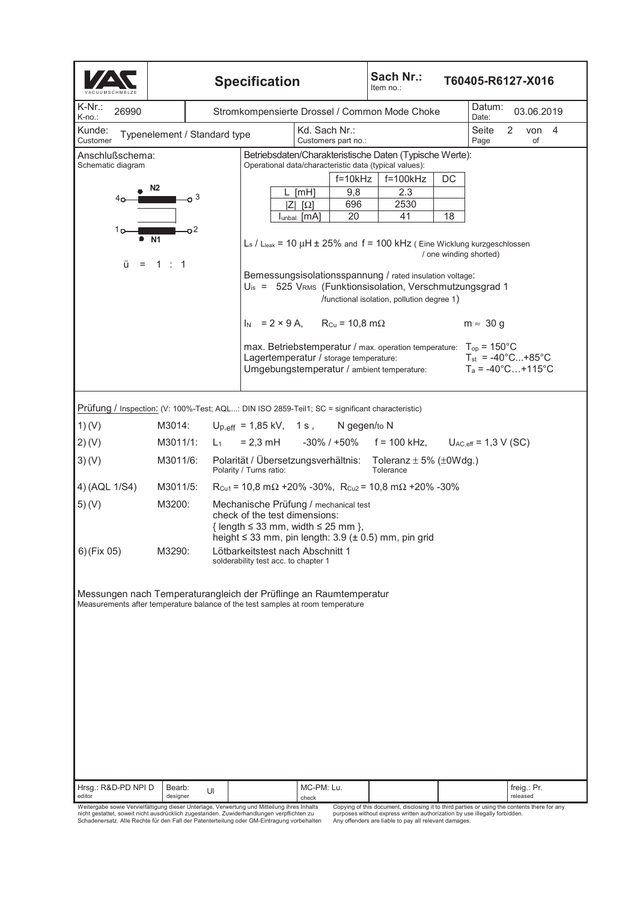| <b>Specification</b>                                                                                                                                                                                    |                                               |                                                                                            |                                                                                                                                                                                          |                            |            | Sach Nr.:<br>T60405-R6127-X016<br>Item no.: |                                                                                                                              |                        |                                                                     |                               |                         |  |  |
|---------------------------------------------------------------------------------------------------------------------------------------------------------------------------------------------------------|-----------------------------------------------|--------------------------------------------------------------------------------------------|------------------------------------------------------------------------------------------------------------------------------------------------------------------------------------------|----------------------------|------------|---------------------------------------------|------------------------------------------------------------------------------------------------------------------------------|------------------------|---------------------------------------------------------------------|-------------------------------|-------------------------|--|--|
| $K-Nr$ .:<br>26990<br>K-no.:                                                                                                                                                                            | Stromkompensierte Drossel / Common Mode Choke |                                                                                            |                                                                                                                                                                                          |                            |            |                                             |                                                                                                                              |                        |                                                                     | Datum:<br>03.06.2019<br>Date: |                         |  |  |
| Kunde:<br>Typenelement / Standard type<br>Customer                                                                                                                                                      | Kd. Sach Nr.:<br>Customers part no.:          |                                                                                            |                                                                                                                                                                                          |                            |            | Seite<br>Page                               | 2                                                                                                                            | of                     | von 4                                                               |                               |                         |  |  |
| Anschlußschema:<br>Betriebsdaten/Charakteristische Daten (Typische Werte):<br>Operational data/characteristic data (typical values):<br>Schematic diagram                                               |                                               |                                                                                            |                                                                                                                                                                                          |                            |            |                                             |                                                                                                                              |                        |                                                                     |                               |                         |  |  |
|                                                                                                                                                                                                         |                                               |                                                                                            |                                                                                                                                                                                          |                            | $f=10kHz$  |                                             | $f=100kHz$                                                                                                                   | DC                     |                                                                     |                               |                         |  |  |
| 4ο-                                                                                                                                                                                                     | ი 3                                           |                                                                                            |                                                                                                                                                                                          | [TH]<br>$ Z $ [ $\Omega$ ] | 9,8<br>696 |                                             | 2.3<br>2530                                                                                                                  |                        |                                                                     |                               |                         |  |  |
|                                                                                                                                                                                                         |                                               |                                                                                            |                                                                                                                                                                                          | Iunbal. [MA]               | 20         |                                             | 41                                                                                                                           | 18                     |                                                                     |                               |                         |  |  |
| 1 p<br>ü                                                                                                                                                                                                | -o2<br><b>N1</b>                              |                                                                                            |                                                                                                                                                                                          |                            |            |                                             | $L_s$ / $L_{leak}$ = 10 $\mu$ H $\pm$ 25% and f = 100 kHz (Eine Wicklung kurzgeschlossen                                     | / one winding shorted) |                                                                     |                               |                         |  |  |
| $= 1 : 1$<br>Bemessungsisolationsspannung / rated insulation voltage:<br>$U_{\text{is}} = 525$ V <sub>RMS</sub> (Funktionsisolation, Verschmutzungsgrad 1<br>/functional isolation, pollution degree 1) |                                               |                                                                                            |                                                                                                                                                                                          |                            |            |                                             |                                                                                                                              |                        |                                                                     |                               |                         |  |  |
|                                                                                                                                                                                                         |                                               |                                                                                            | $I_N = 2 \times 9$ A, $R_{Cu} = 10,8$ m $\Omega$                                                                                                                                         |                            |            |                                             |                                                                                                                              |                        | $m \approx 30 g$                                                    |                               |                         |  |  |
|                                                                                                                                                                                                         |                                               |                                                                                            | Lagertemperatur / storage temperature:                                                                                                                                                   |                            |            |                                             | max. Betriebstemperatur / max. operation temperature: $T_{op} = 150^{\circ}$ C<br>Umgebungstemperatur / ambient temperature: |                        | $T_{st} = -40^{\circ}C+85^{\circ}C$<br>$T_a = -40^{\circ}$ C +115°C |                               |                         |  |  |
| Prüfung / Inspection: (V: 100%-Test; AQL: DIN ISO 2859-Teil1; SC = significant characteristic)                                                                                                          |                                               |                                                                                            |                                                                                                                                                                                          |                            |            |                                             |                                                                                                                              |                        |                                                                     |                               |                         |  |  |
| 1)(V)<br>$U_{p,eff}$ = 1,85 kV, 1 s, N gegen/to N<br>M3014:                                                                                                                                             |                                               |                                                                                            |                                                                                                                                                                                          |                            |            |                                             |                                                                                                                              |                        |                                                                     |                               |                         |  |  |
| 2)(V)                                                                                                                                                                                                   | M3011/1:                                      | $L_{1}$                                                                                    |                                                                                                                                                                                          |                            |            |                                             | $= 2.3$ mH $-30\%$ / +50% f = 100 kHz, U <sub>AC, eff</sub> = 1,3 V (SC)                                                     |                        |                                                                     |                               |                         |  |  |
| 3)(V)                                                                                                                                                                                                   | M3011/6:                                      |                                                                                            | Polarität / Übersetzungsverhältnis: Toleranz ± 5% (±0Wdg.)<br>Polarity / Turns ratio:<br>Tolerance                                                                                       |                            |            |                                             |                                                                                                                              |                        |                                                                     |                               |                         |  |  |
| 4) (AQL 1/S4)                                                                                                                                                                                           | M3011/5:                                      | R <sub>Cu1</sub> = 10,8 m $\Omega$ +20% -30%, R <sub>Cu2</sub> = 10,8 m $\Omega$ +20% -30% |                                                                                                                                                                                          |                            |            |                                             |                                                                                                                              |                        |                                                                     |                               |                         |  |  |
| 5)(V)                                                                                                                                                                                                   | M3200:                                        |                                                                                            | Mechanische Prüfung / mechanical test<br>check of the test dimensions:<br>{ length $\leq$ 33 mm, width $\leq$ 25 mm },<br>height $\leq$ 33 mm, pin length: 3.9 ( $\pm$ 0.5) mm, pin grid |                            |            |                                             |                                                                                                                              |                        |                                                                     |                               |                         |  |  |
| $6)$ (Fix 05)                                                                                                                                                                                           | M3290:                                        | Lötbarkeitstest nach Abschnitt 1<br>solderability test acc. to chapter 1                   |                                                                                                                                                                                          |                            |            |                                             |                                                                                                                              |                        |                                                                     |                               |                         |  |  |
| Messungen nach Temperaturangleich der Prüflinge an Raumtemperatur<br>Measurements after temperature balance of the test samples at room temperature                                                     |                                               |                                                                                            |                                                                                                                                                                                          |                            |            |                                             |                                                                                                                              |                        |                                                                     |                               |                         |  |  |
| Hrsg.: R&D-PD NPI D<br>editor                                                                                                                                                                           | Bearb:<br>designer                            | UI                                                                                         |                                                                                                                                                                                          | MC-PM: Lu.<br>check        |            |                                             |                                                                                                                              |                        |                                                                     |                               | freig.: Pr.<br>released |  |  |

Weitergabe sowie Vervielfältigung dieser Unterlage, Verwertung und Mitteilung ihres Inhalts<br>nicht gestattet, soweit nicht ausdrücklich zugestanden. Zuwiderhandlungen verpflichten zu<br>Schadenersatz. Alle Rechte für den Fall

Copying of this document, disclosing it to third parties or using the contents there for any<br>purposes without express written authorization by use illegally forbidden.<br>Any offenders are liable to pay all relevant damages.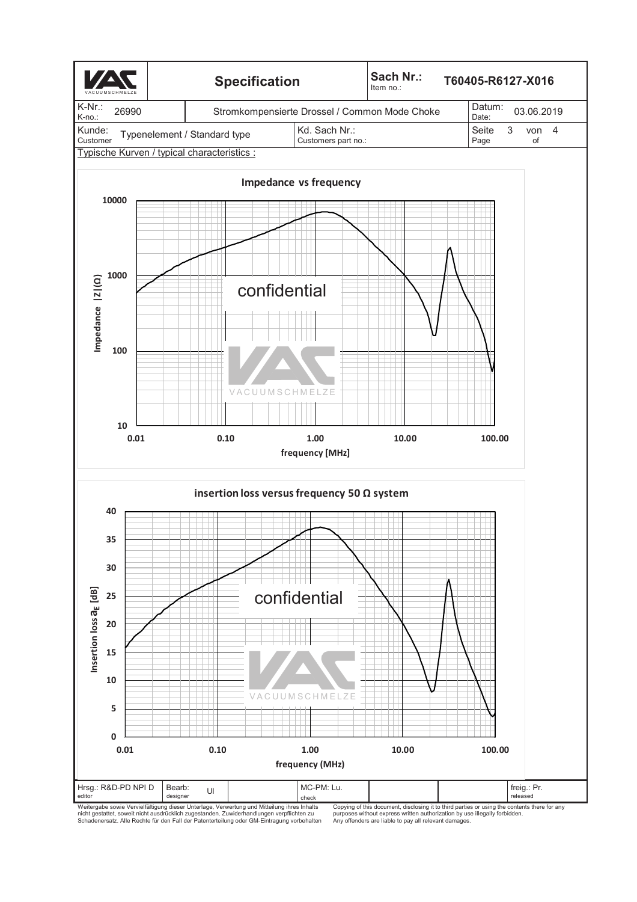

nicht gestattet, soweit nicht ausdrücklich zugestanden. Zuwiderhandlungen verpflichten zu Schadenersatz. Alle Rechte für den Fall der Patenterteilung oder GM-Eintragung vorbehalten

purposes without express written authorization by use illegally forbidden. Any offenders are liable to pay all relevant damages.